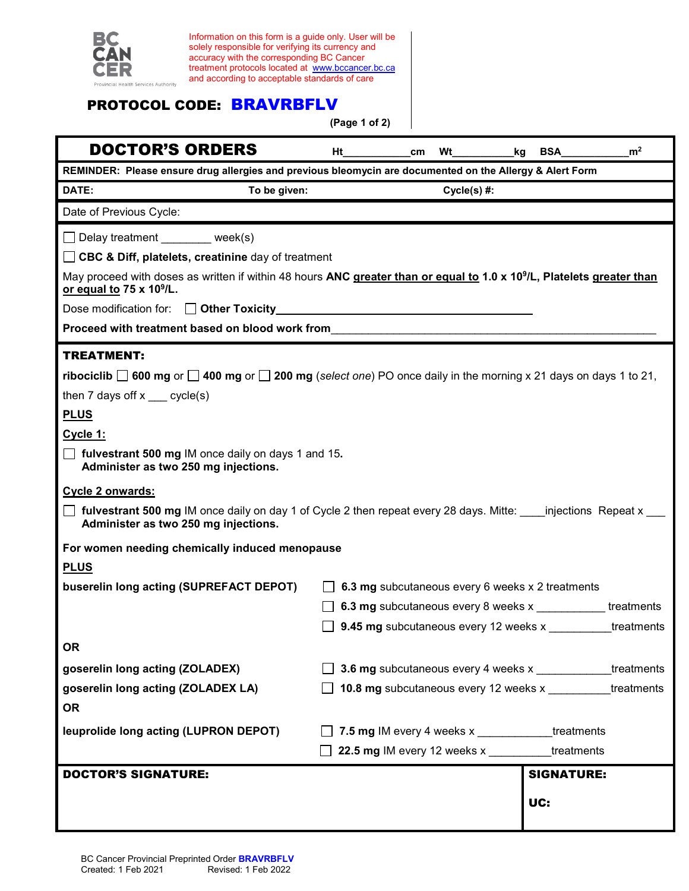

Information on this form is a guide only. User will be solely responsible for verifying its currency and accuracy with the corresponding BC Cancer treatment protocols located at [www.bccancer.bc.ca](http://www.bccancer.bc.ca/) and according to acceptable standards of care

## PROTOCOL CODE: BRAVRBFLV

**(Page 1 of 2)**

| <b>DOCTOR'S ORDERS</b>                                                                                                                                                     | Ht                                                  | cm                                               | Wt | kq | <b>BSA</b>        | m <sup>2</sup>                                             |  |
|----------------------------------------------------------------------------------------------------------------------------------------------------------------------------|-----------------------------------------------------|--------------------------------------------------|----|----|-------------------|------------------------------------------------------------|--|
| REMINDER: Please ensure drug allergies and previous bleomycin are documented on the Allergy & Alert Form                                                                   |                                                     |                                                  |    |    |                   |                                                            |  |
| DATE:<br>To be given:<br>$Cycle(s)$ #:                                                                                                                                     |                                                     |                                                  |    |    |                   |                                                            |  |
| Date of Previous Cycle:                                                                                                                                                    |                                                     |                                                  |    |    |                   |                                                            |  |
| □ Delay treatment ________ week(s)                                                                                                                                         |                                                     |                                                  |    |    |                   |                                                            |  |
| □ CBC & Diff, platelets, creatinine day of treatment                                                                                                                       |                                                     |                                                  |    |    |                   |                                                            |  |
| May proceed with doses as written if within 48 hours ANC greater than or equal to 1.0 x 10 <sup>9</sup> /L, Platelets greater than<br>or equal to 75 x 10 <sup>9</sup> /L. |                                                     |                                                  |    |    |                   |                                                            |  |
|                                                                                                                                                                            |                                                     |                                                  |    |    |                   |                                                            |  |
| Proceed with treatment based on blood work from                                                                                                                            |                                                     |                                                  |    |    |                   |                                                            |  |
| <b>TREATMENT:</b>                                                                                                                                                          |                                                     |                                                  |    |    |                   |                                                            |  |
| <b>ribociclib</b> $\Box$ 600 mg or $\Box$ 400 mg or $\Box$ 200 mg (select one) PO once daily in the morning x 21 days on days 1 to 21,                                     |                                                     |                                                  |    |    |                   |                                                            |  |
| then 7 days off $x$ ___ cycle(s)                                                                                                                                           |                                                     |                                                  |    |    |                   |                                                            |  |
| <b>PLUS</b>                                                                                                                                                                |                                                     |                                                  |    |    |                   |                                                            |  |
| Cycle 1:                                                                                                                                                                   |                                                     |                                                  |    |    |                   |                                                            |  |
| $\Box$ fulvestrant 500 mg IM once daily on days 1 and 15.<br>Administer as two 250 mg injections.                                                                          |                                                     |                                                  |    |    |                   |                                                            |  |
| Cycle 2 onwards:                                                                                                                                                           |                                                     |                                                  |    |    |                   |                                                            |  |
| <b>T</b> fulvestrant 500 mg IM once daily on day 1 of Cycle 2 then repeat every 28 days. Mitte: injections Repeat x<br>Administer as two 250 mg injections.                |                                                     |                                                  |    |    |                   |                                                            |  |
| For women needing chemically induced menopause                                                                                                                             |                                                     |                                                  |    |    |                   |                                                            |  |
| <b>PLUS</b>                                                                                                                                                                |                                                     |                                                  |    |    |                   |                                                            |  |
| buserelin long acting (SUPREFACT DEPOT)                                                                                                                                    | 6.3 mg subcutaneous every 6 weeks x 2 treatments    |                                                  |    |    |                   |                                                            |  |
|                                                                                                                                                                            |                                                     |                                                  |    |    |                   | 6.3 mg subcutaneous every 8 weeks x ____________treatments |  |
|                                                                                                                                                                            |                                                     |                                                  |    |    |                   | <b>9.45 mg</b> subcutaneous every 12 weeks x treatments    |  |
| <b>OR</b>                                                                                                                                                                  |                                                     |                                                  |    |    |                   |                                                            |  |
| goserelin long acting (ZOLADEX)                                                                                                                                            | 3.6 mg subcutaneous every 4 weeks x                 |                                                  |    |    |                   | treatments                                                 |  |
| goserelin long acting (ZOLADEX LA)                                                                                                                                         | 10.8 mg subcutaneous every 12 weeks x<br>treatments |                                                  |    |    |                   |                                                            |  |
| <b>OR</b>                                                                                                                                                                  |                                                     |                                                  |    |    |                   |                                                            |  |
| leuprolide long acting (LUPRON DEPOT)                                                                                                                                      |                                                     | 7.5 mg IM every 4 weeks x ____________treatments |    |    |                   |                                                            |  |
|                                                                                                                                                                            |                                                     | 22.5 mg IM every 12 weeks x                      |    |    | treatments        |                                                            |  |
| <b>DOCTOR'S SIGNATURE:</b>                                                                                                                                                 |                                                     |                                                  |    |    | <b>SIGNATURE:</b> |                                                            |  |
|                                                                                                                                                                            |                                                     |                                                  |    |    |                   |                                                            |  |
|                                                                                                                                                                            |                                                     |                                                  |    |    | UC:               |                                                            |  |
|                                                                                                                                                                            |                                                     |                                                  |    |    |                   |                                                            |  |